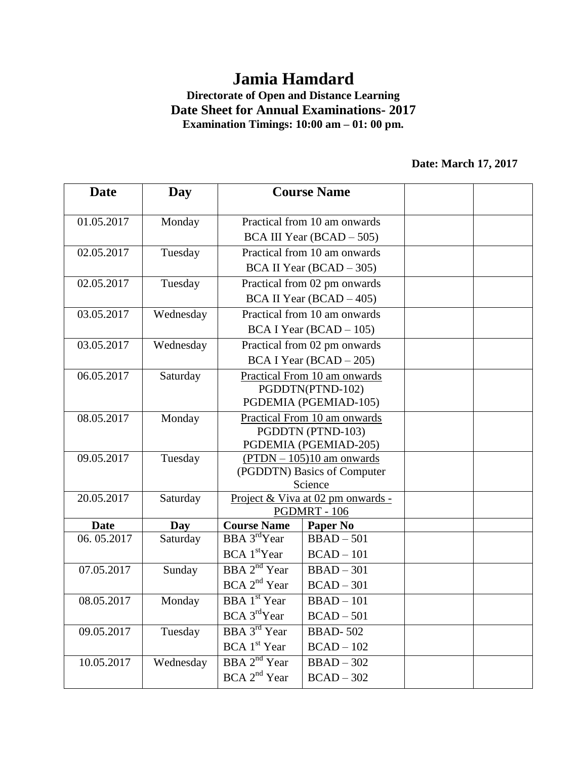## **Jamia Hamdard**

## **Directorate of Open and Distance Learning Date Sheet for Annual Examinations- 2017 Examination Timings: 10:00 am – 01: 00 pm.**

## **Date: March 17, 2017**

| <b>Date</b> | Day       | <b>Course Name</b>                                       |                  |  |  |  |
|-------------|-----------|----------------------------------------------------------|------------------|--|--|--|
|             |           |                                                          |                  |  |  |  |
| 01.05.2017  | Monday    | Practical from 10 am onwards                             |                  |  |  |  |
|             |           | BCA III Year (BCAD – 505)                                |                  |  |  |  |
| 02.05.2017  | Tuesday   | Practical from 10 am onwards                             |                  |  |  |  |
|             |           | BCA II Year (BCAD – 305)                                 |                  |  |  |  |
| 02.05.2017  | Tuesday   | Practical from 02 pm onwards                             |                  |  |  |  |
|             |           | $BCA II Year (BCAD - 405)$                               |                  |  |  |  |
| 03.05.2017  | Wednesday | Practical from 10 am onwards                             |                  |  |  |  |
|             |           | $BCA I Year (BCAD - 105)$                                |                  |  |  |  |
| 03.05.2017  | Wednesday | Practical from 02 pm onwards                             |                  |  |  |  |
|             |           | $BCA I Year (BCAD - 205)$                                |                  |  |  |  |
| 06.05.2017  | Saturday  | Practical From 10 am onwards                             |                  |  |  |  |
|             |           |                                                          | PGDDTN(PTND-102) |  |  |  |
| 08.05.2017  | Monday    | PGDEMIA (PGEMIAD-105)<br>Practical From 10 am onwards    |                  |  |  |  |
|             |           | PGDDTN (PTND-103)                                        |                  |  |  |  |
|             |           | PGDEMIA (PGEMIAD-205)                                    |                  |  |  |  |
| 09.05.2017  | Tuesday   | $(PTDN - 105)10$ am onwards                              |                  |  |  |  |
|             |           | (PGDDTN) Basics of Computer                              |                  |  |  |  |
| 20.05.2017  | Saturday  |                                                          | Science          |  |  |  |
|             |           | Project & Viva at 02 pm onwards -<br><b>PGDMRT - 106</b> |                  |  |  |  |
| <b>Date</b> | Day       | <b>Course Name</b>                                       | Paper No         |  |  |  |
| 06.05.2017  | Saturday  | BBA 3 <sup>rd</sup> Year                                 | $BBAD - 501$     |  |  |  |
|             |           | BCA1 <sup>st</sup> Year                                  | $BCAD - 101$     |  |  |  |
| 07.05.2017  | Sunday    | $BBA$ $2nd$ Year                                         | $BBAD - 301$     |  |  |  |
|             |           | BCA 2 <sup>nd</sup> Year                                 | $BCAD - 301$     |  |  |  |
| 08.05.2017  | Monday    | <b>BBA</b> 1 <sup>st</sup> Year                          | $BBAD - 101$     |  |  |  |
|             |           | BCA 3 <sup>rd</sup> Year                                 | $BCAD - 501$     |  |  |  |
| 09.05.2017  | Tuesday   | <b>BBA</b> 3 <sup>rd</sup> Year                          | <b>BBAD-502</b>  |  |  |  |
|             |           | BCA 1 <sup>st</sup> Year                                 | $BCAD - 102$     |  |  |  |
| 10.05.2017  | Wednesday | BBA 2 <sup>nd</sup> Year                                 | $BBAD - 302$     |  |  |  |
|             |           | BCA 2 <sup>nd</sup> Year                                 | $BCAD - 302$     |  |  |  |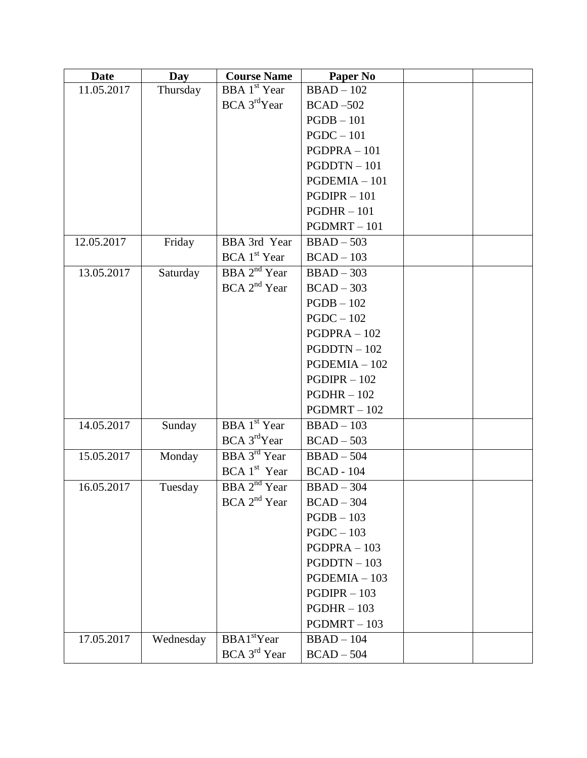| <b>Date</b> | Day       | <b>Course Name</b>              | <b>Paper No</b>   |  |
|-------------|-----------|---------------------------------|-------------------|--|
| 11.05.2017  | Thursday  | BBA 1 <sup>st</sup> Year        | $BBAD - 102$      |  |
|             |           | BCA 3 <sup>rd</sup> Year        | $BCAD - 502$      |  |
|             |           |                                 | $PGDB - 101$      |  |
|             |           |                                 | $PGDC - 101$      |  |
|             |           |                                 | $PGDPRA - 101$    |  |
|             |           |                                 | $PGDDTN - 101$    |  |
|             |           |                                 | $PGDEMIA - 101$   |  |
|             |           |                                 | $PGDIPR - 101$    |  |
|             |           |                                 | $PGDHR - 101$     |  |
|             |           |                                 | $PGDMRT - 101$    |  |
| 12.05.2017  | Friday    | BBA 3rd Year                    | $BBAD - 503$      |  |
|             |           | $BCA$ 1 <sup>st</sup> Year      | $BCAD - 103$      |  |
| 13.05.2017  | Saturday  | BBA 2 <sup>nd</sup> Year        | $BBAD-303$        |  |
|             |           | BCA 2 <sup>nd</sup> Year        | $BCAD - 303$      |  |
|             |           |                                 | $PGDB - 102$      |  |
|             |           |                                 | $PGDC - 102$      |  |
|             |           |                                 | $PGDPRA - 102$    |  |
|             |           |                                 | $PGDDTN - 102$    |  |
|             |           |                                 | $PGDEMIA - 102$   |  |
|             |           |                                 | $PGDIPR - 102$    |  |
|             |           |                                 | $PGDHR - 102$     |  |
|             |           |                                 | $PGDMRT - 102$    |  |
| 14.05.2017  | Sunday    | <b>BBA</b> 1 <sup>st</sup> Year | $BBAD - 103$      |  |
|             |           | BCA 3 <sup>rd</sup> Year        | $BCAD - 503$      |  |
| 15.05.2017  | Monday    | <b>BBA</b> $3^{rd}$ Year        | $BBAD - 504$      |  |
|             |           | BCA1 <sup>st</sup> Year         | <b>BCAD - 104</b> |  |
| 16.05.2017  | Tuesday   | $BBA$ $2nd$ Year                | $BBAD - 304$      |  |
|             |           | BCA 2 <sup>nd</sup> Year        | $BCAD - 304$      |  |
|             |           |                                 | $PGDB - 103$      |  |
|             |           |                                 | $PGDC - 103$      |  |
|             |           |                                 | $PGDPRA - 103$    |  |
|             |           |                                 | $PGDDTN - 103$    |  |
|             |           |                                 | $PGDEMIA - 103$   |  |
|             |           |                                 | $PGDIPR - 103$    |  |
|             |           |                                 | $PGDHR - 103$     |  |
|             |           |                                 | $PGDMRT - 103$    |  |
| 17.05.2017  | Wednesday | BBA1 <sup>st</sup> Year         | $BBAD - 104$      |  |
|             |           | BCA 3 <sup>rd</sup> Year        | $BCAD - 504$      |  |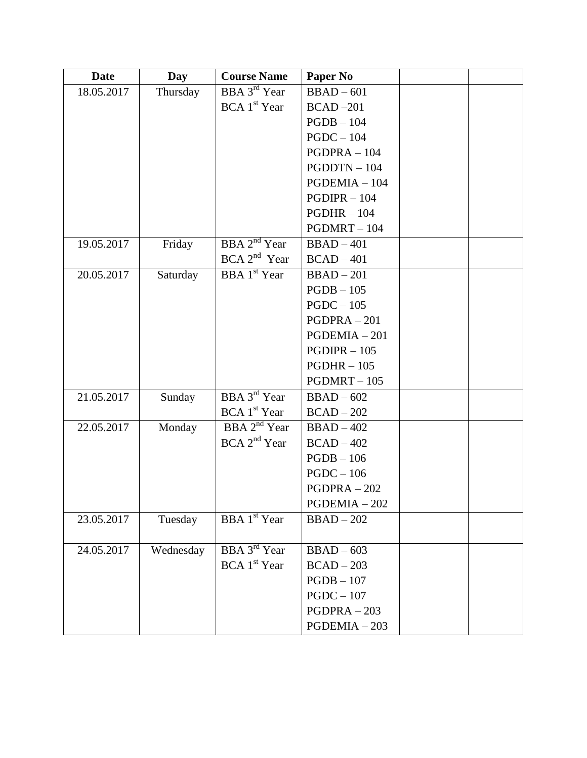| <b>Date</b> | Day       | <b>Course Name</b>              | Paper No        |  |
|-------------|-----------|---------------------------------|-----------------|--|
| 18.05.2017  | Thursday  | BBA 3 <sup>rd</sup> Year        | $BBAD - 601$    |  |
|             |           | BCA 1 <sup>st</sup> Year        | $BCAD - 201$    |  |
|             |           |                                 | $PGDB - 104$    |  |
|             |           |                                 | $PGDC - 104$    |  |
|             |           |                                 | $PGDPRA - 104$  |  |
|             |           |                                 | $PGDDTN - 104$  |  |
|             |           |                                 | $PGDEMIA - 104$ |  |
|             |           |                                 | $PGDIPR - 104$  |  |
|             |           |                                 | $PGDHR - 104$   |  |
|             |           |                                 | $PGDMRT - 104$  |  |
| 19.05.2017  | Friday    | BBA 2 <sup>nd</sup> Year        | $BBAD-401$      |  |
|             |           | BCA 2 <sup>nd</sup> Year        | $BCAD - 401$    |  |
| 20.05.2017  | Saturday  | <b>BBA</b> 1 <sup>st</sup> Year | $BBAD - 201$    |  |
|             |           |                                 | $PGDB - 105$    |  |
|             |           |                                 | $PGDC - 105$    |  |
|             |           |                                 | $PGDPRA - 201$  |  |
|             |           |                                 | $PGDEMIA - 201$ |  |
|             |           |                                 | $PGDIPR - 105$  |  |
|             |           |                                 | $PGDHR - 105$   |  |
|             |           |                                 | $PGDMRT - 105$  |  |
| 21.05.2017  | Sunday    | BBA 3 <sup>rd</sup> Year        | $BBAD - 602$    |  |
|             |           | BCA 1 <sup>st</sup> Year        | $BCAD - 202$    |  |
| 22.05.2017  | Monday    | BBA 2 <sup>nd</sup> Year        | $BBAD - 402$    |  |
|             |           | BCA 2 <sup>nd</sup> Year        | $BCAD - 402$    |  |
|             |           |                                 | $PGDB - 106$    |  |
|             |           |                                 | $PGDC - 106$    |  |
|             |           |                                 | $PGDPRA - 202$  |  |
|             |           |                                 | $PGDEMIA - 202$ |  |
| 23.05.2017  | Tuesday   | BBA 1 <sup>st</sup> Year        | $BBAD - 202$    |  |
|             |           |                                 |                 |  |
| 24.05.2017  | Wednesday | BBA 3 <sup>rd</sup> Year        | $BBAD - 603$    |  |
|             |           | BCA 1 <sup>st</sup> Year        | $BCAD - 203$    |  |
|             |           |                                 | $PGDB - 107$    |  |
|             |           |                                 | $PGDC - 107$    |  |
|             |           |                                 | $PGDPRA - 203$  |  |
|             |           |                                 | $PGDEMIA - 203$ |  |